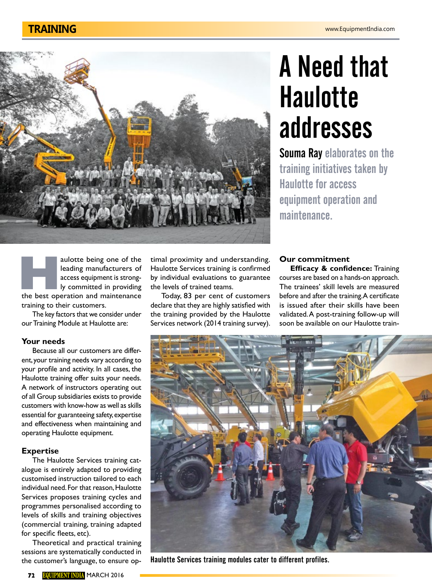

# A Need that **Haulotte** addresses

Souma Ray elaborates on the training initiatives taken by Haulotte for access equipment operation and maintenance.

aulotte being one of the<br>
leading manufacturers of<br>
access equipment is strong-<br>
ly committed in providing<br>
the best operation and maintenance leading manufacturers of access equipment is strongly committed in providing training to their customers.

The key factors that we consider under our Training Module at Haulotte are:

### **Your needs**

Because all our customers are different, your training needs vary according to your profile and activity. In all cases, the Haulotte training offer suits your needs. A network of instructors operating out of all Group subsidiaries exists to provide customers with know-how as well as skills essential for guaranteeing safety, expertise and effectiveness when maintaining and operating Haulotte equipment.

## **Expertise**

The Haulotte Services training catalogue is entirely adapted to providing customised instruction tailored to each individual need. For that reason, Haulotte Services proposes training cycles and programmes personalised according to levels of skills and training objectives (commercial training, training adapted for specific fleets, etc).

Theoretical and practical training sessions are systematically conducted in the customer's language, to ensure optimal proximity and understanding. Haulotte Services training is confirmed by individual evaluations to guarantee the levels of trained teams.

Today, 83 per cent of customers declare that they are highly satisfied with the training provided by the Haulotte Services network (2014 training survey).

## **Our commitment**

**Efficacy & confidence:** Training courses are based on a hands-on approach. The trainees' skill levels are measured before and after the training. A certificate is issued after their skills have been validated. A post-training follow-up will soon be available on our Haulotte train-



Haulotte Services training modules cater to different profiles.